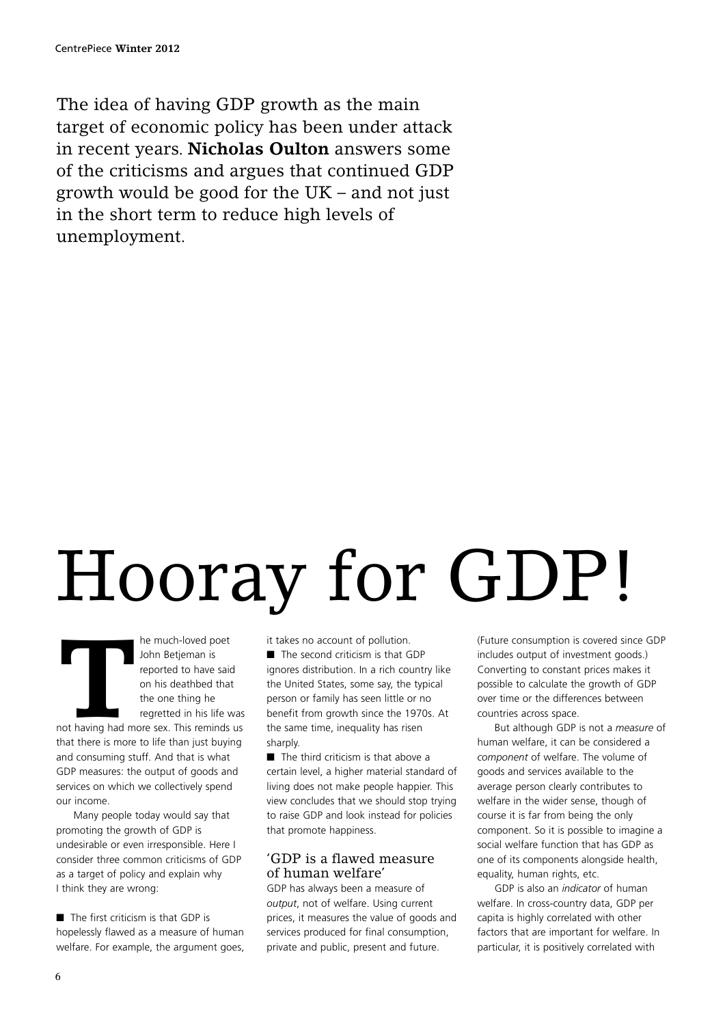The idea of having GDP growth as the main target of economic policy has been under attack in recent years. **Nicholas Oulton** answers some of the criticisms and argues that continued GDP growth would be good for the UK – and not just in the short term to reduce high levels of unemployment.

# Hooray for GDP!

**THE MANUS TEND THE MANUS TEND SPECIES THE MANUS TERM**<br> **THE MANUS TEND IS THE MANUS TEND IS THE MANUS TERM**<br> **THE MANUS TEND IS THE MANUS TERM**<br> **THE MANUS TERM**<br> **THE MANUS TERM**<br> **THE MANUS TERM**<br> **THE MANUS TERM**<br> **THE** John Betjeman is reported to have said on his deathbed that the one thing he regretted in his life was not having had more sex. This reminds us that there is more to life than just buying and consuming stuff. And that is what

GDP measures: the output of goods and services on which we collectively spend our income.

Many people today would say that promoting the growth of GDP is undesirable or even irresponsible. Here I consider three common criticisms of GDP as a target of policy and explain why I think they are wrong:

■ The first criticism is that GDP is hopelessly flawed as a measure of human welfare. For example, the argument goes, it takes no account of pollution.

■ The second criticism is that GDP ignores distribution. In a rich country like the United States, some say, the typical person or family has seen little or no benefit from growth since the 1970s. At the same time, inequality has risen sharply.

■ The third criticism is that above a certain level, a higher material standard of living does not make people happier. This view concludes that we should stop trying to raise GDP and look instead for policies that promote happiness.

#### 'GDP is a flawed measure of human welfare'

GDP has always been a measure of *output*, not of welfare. Using current prices, it measures the value of goods and services produced for final consumption, private and public, present and future.

(Future consumption is covered since GDP includes output of investment goods.) Converting to constant prices makes it possible to calculate the growth of GDP over time or the differences between countries across space.

But although GDP is not a *measure* of human welfare, it can be considered a *component* of welfare. The volume of goods and services available to the average person clearly contributes to welfare in the wider sense, though of course it is far from being the only component. So it is possible to imagine a social welfare function that has GDP as one of its components alongside health, equality, human rights, etc.

GDP is also an *indicator* of human welfare. In cross-country data, GDP per capita is highly correlated with other factors that are important for welfare. In particular, it is positively correlated with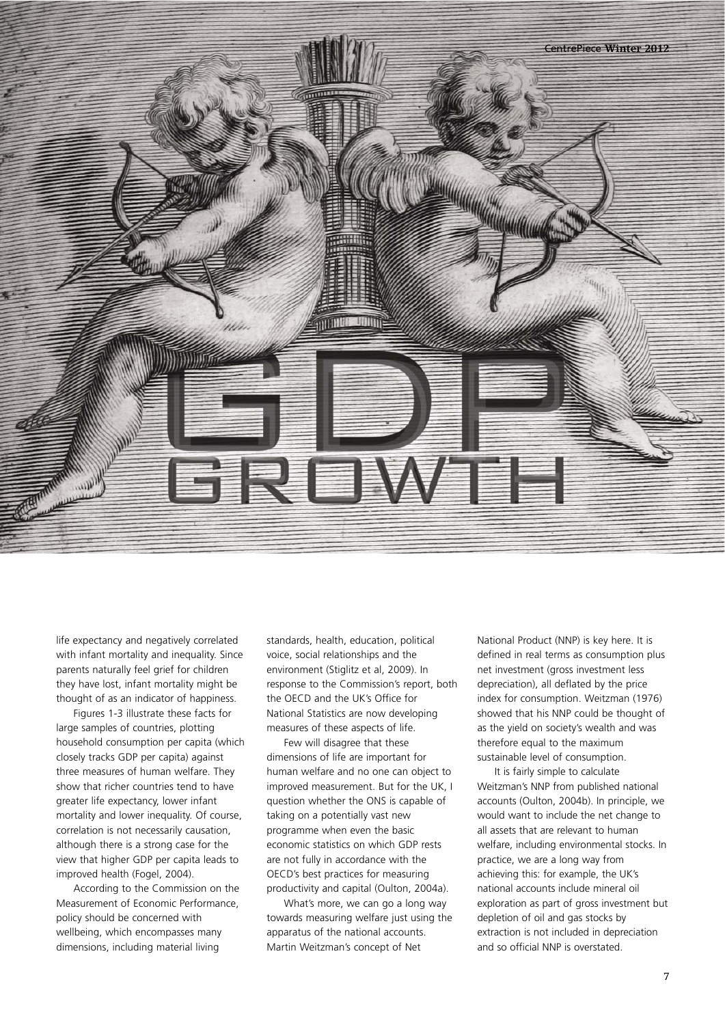

life expectancy and negatively correlated with infant mortality and inequality. Since parents naturally feel grief for children they have lost, infant mortality might be thought of as an indicator of happiness.

Figures 1-3 illustrate these facts for large samples of countries, plotting household consumption per capita (which closely tracks GDP per capita) against three measures of human welfare. They show that richer countries tend to have greater life expectancy, lower infant mortality and lower inequality. Of course, correlation is not necessarily causation, although there is a strong case for the view that higher GDP per capita leads to improved health (Fogel, 2004).

According to the Commission on the Measurement of Economic Performance, policy should be concerned with wellbeing, which encompasses many dimensions, including material living

standards, health, education, political voice, social relationships and the environment (Stiglitz et al, 2009). In response to the Commission's report, both the OECD and the UK's Office for National Statistics are now developing measures of these aspects of life.

Few will disagree that these dimensions of life are important for human welfare and no one can object to improved measurement. But for the UK, I question whether the ONS is capable of taking on a potentially vast new programme when even the basic economic statistics on which GDP rests are not fully in accordance with the OECD's best practices for measuring productivity and capital (Oulton, 2004a).

What's more, we can go a long way towards measuring welfare just using the apparatus of the national accounts. Martin Weitzman's concept of Net

National Product (NNP) is key here. It is defined in real terms as consumption plus net investment (gross investment less depreciation), all deflated by the price index for consumption. Weitzman (1976) showed that his NNP could be thought of as the yield on society's wealth and was therefore equal to the maximum sustainable level of consumption.

It is fairly simple to calculate Weitzman's NNP from published national accounts (Oulton, 2004b). In principle, we would want to include the net change to all assets that are relevant to human welfare, including environmental stocks. In practice, we are a long way from achieving this: for example, the UK's national accounts include mineral oil exploration as part of gross investment but depletion of oil and gas stocks by extraction is not included in depreciation and so official NNP is overstated.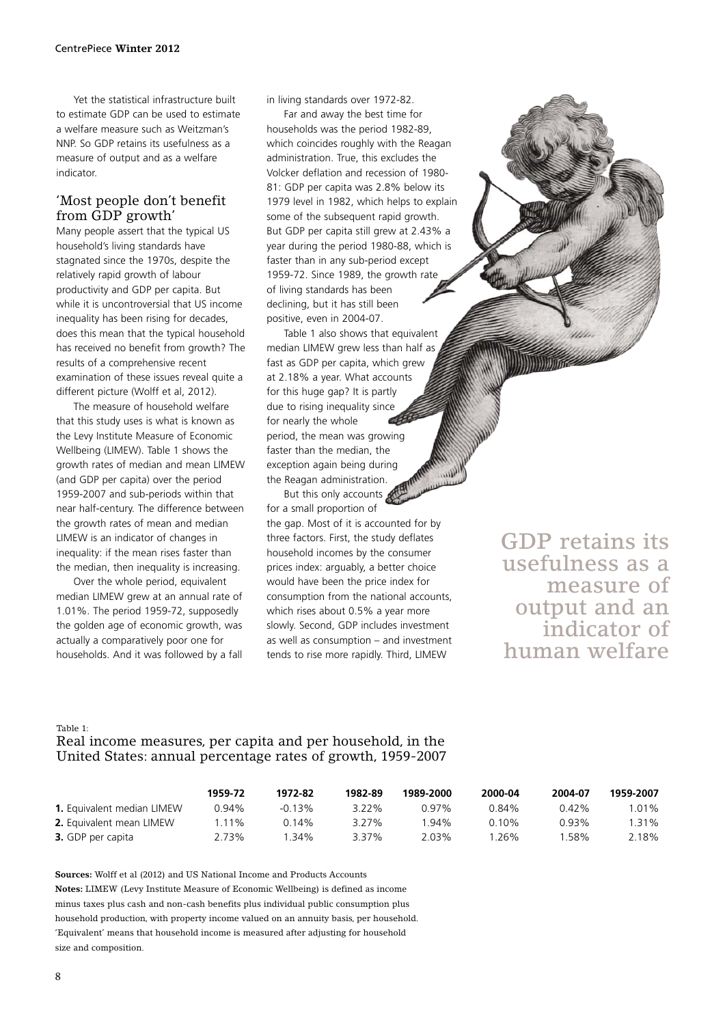Yet the statistical infrastructure built to estimate GDP can be used to estimate a welfare measure such as Weitzman's NNP. So GDP retains its usefulness as a measure of output and as a welfare indicator.

#### 'Most people don't benefit from GDP growth'

Many people assert that the typical US household's living standards have stagnated since the 1970s, despite the relatively rapid growth of labour productivity and GDP per capita. But while it is uncontroversial that US income inequality has been rising for decades, does this mean that the typical household has received no benefit from growth? The results of a comprehensive recent examination of these issues reveal quite a different picture (Wolff et al, 2012).

The measure of household welfare that this study uses is what is known as the Levy Institute Measure of Economic Wellbeing (LIMEW). Table 1 shows the growth rates of median and mean LIMEW (and GDP per capita) over the period 1959-2007 and sub-periods within that near half-century. The difference between the growth rates of mean and median LIMEW is an indicator of changes in inequality: if the mean rises faster than the median, then inequality is increasing.

Over the whole period, equivalent median LIMEW grew at an annual rate of 1.01%. The period 1959-72, supposedly the golden age of economic growth, was actually a comparatively poor one for households. And it was followed by a fall in living standards over 1972-82.

Far and away the best time for households was the period 1982-89, which coincides roughly with the Reagan administration. True, this excludes the Volcker deflation and recession of 1980- 81: GDP per capita was 2.8% below its 1979 level in 1982, which helps to explain some of the subsequent rapid growth. But GDP per capita still grew at 2.43% a year during the period 1980-88, which is faster than in any sub-period except 1959-72. Since 1989, the growth rate of living standards has been declining, but it has still been positive, even in 2004-07.

Table 1 also shows that equivalent median LIMEW grew less than half as fast as GDP per capita, which grew at 2.18% a year. What accounts for this huge gap? It is partly due to rising inequality since for nearly the whole period, the mean was growing faster than the median, the exception again being during the Reagan administration.

But this only accounts for a small proportion of the gap. Most of it is accounted for by three factors. First, the study deflates household incomes by the consumer prices index: arguably, a better choice would have been the price index for consumption from the national accounts, which rises about 0.5% a year more slowly. Second, GDP includes investment as well as consumption – and investment tends to rise more rapidly. Third, LIMEW

GDP retains its usefulness as a measure of output and an indicator of human welfare

#### Table 1:

Real income measures, per capita and per household, in the United States: annual percentage rates of growth, 1959-2007

|                                   | 1959-72 | 1972-82   | 1982-89  | 1989-2000 | 2000-04 | 2004-07 | 1959-2007 |
|-----------------------------------|---------|-----------|----------|-----------|---------|---------|-----------|
| <b>1.</b> Equivalent median LIMEW | 0.94%   | $-0.13\%$ | $3.22\%$ | 0 97%     | 0.84%   | በ 42%   | l.01%     |
| <b>2.</b> Equivalent mean LIMEW   | 1.11%   | በ 14%     | 3 2 7 %  | $.94\%$   | 0 10%   | 0.93%   | l.31%     |
| <b>3.</b> GDP per capita          | 2.73%   | 34%       | 3.37%    | 2.03%     | 26%     | ' 58%   | 2.18%     |

**Sources:** Wolff et al (2012) and US National Income and Products Accounts **Notes:** LIMEW (Levy Institute Measure of Economic Wellbeing) is defined as income minus taxes plus cash and non-cash benefits plus individual public consumption plus household production, with property income valued on an annuity basis, per household. 'Equivalent' means that household income is measured after adjusting for household size and composition.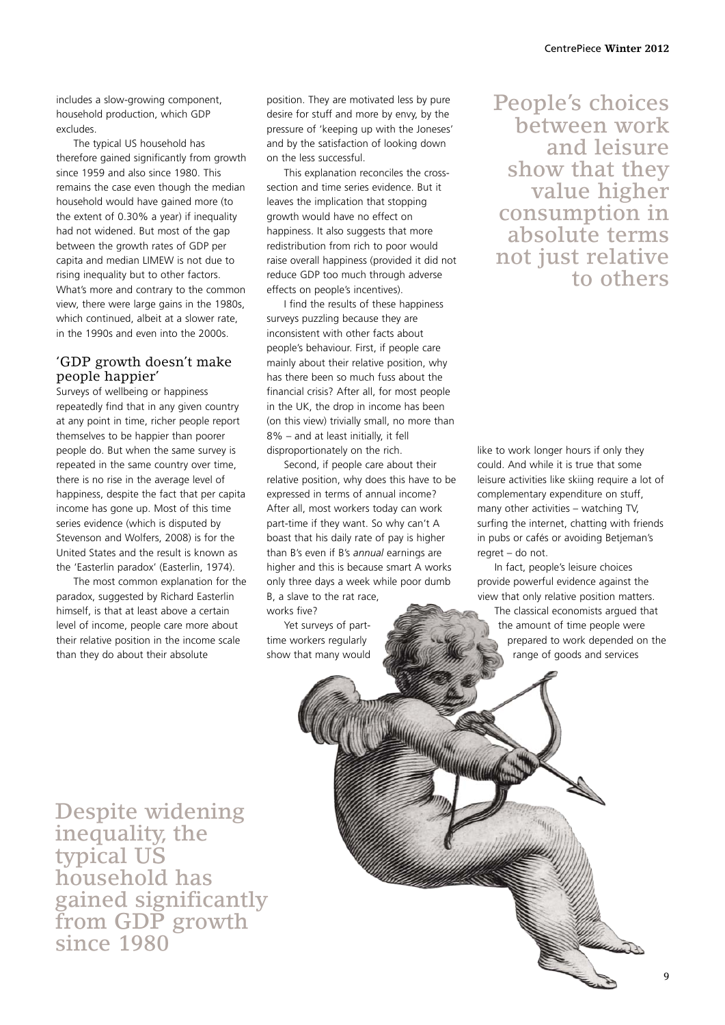includes a slow-growing component, household production, which GDP excludes.

The typical US household has therefore gained significantly from growth since 1959 and also since 1980. This remains the case even though the median household would have gained more (to the extent of 0.30% a year) if inequality had not widened. But most of the gap between the growth rates of GDP per capita and median LIMEW is not due to rising inequality but to other factors. What's more and contrary to the common view, there were large gains in the 1980s, which continued, albeit at a slower rate in the 1990s and even into the 2000s.

### 'GDP growth doesn't make people happier'

Surveys of wellbeing or happiness repeatedly find that in any given country at any point in time, richer people report themselves to be happier than poorer people do. But when the same survey is repeated in the same country over time, there is no rise in the average level of happiness, despite the fact that per capita income has gone up. Most of this time series evidence (which is disputed by Stevenson and Wolfers, 2008) is for the United States and the result is known as the 'Easterlin paradox' (Easterlin, 1974).

The most common explanation for the paradox, suggested by Richard Easterlin himself, is that at least above a certain level of income, people care more about their relative position in the income scale than they do about their absolute

position. They are motivated less by pure desire for stuff and more by envy, by the pressure of 'keeping up with the Joneses' and by the satisfaction of looking down on the less successful.

This explanation reconciles the crosssection and time series evidence. But it leaves the implication that stopping growth would have no effect on happiness. It also suggests that more redistribution from rich to poor would raise overall happiness (provided it did not reduce GDP too much through adverse effects on people's incentives).

I find the results of these happiness surveys puzzling because they are inconsistent with other facts about people's behaviour. First, if people care mainly about their relative position, why has there been so much fuss about the financial crisis? After all, for most people in the UK, the drop in income has been (on this view) trivially small, no more than 8% – and at least initially, it fell disproportionately on the rich.

Second, if people care about their relative position, why does this have to be expressed in terms of annual income? After all, most workers today can work part-time if they want. So why can't A boast that his daily rate of pay is higher than B's even if B's *annual* earnings are higher and this is because smart A works only three days a week while poor dumb B, a slave to the rat race, works five?

Yet surveys of parttime workers regularly show that many would

## People's choices between work and leisure show that they value higher consumption in absolute terms not just relative to others

like to work longer hours if only they could. And while it is true that some leisure activities like skiing require a lot of complementary expenditure on stuff, many other activities – watching TV, surfing the internet, chatting with friends in pubs or cafés or avoiding Betjeman's regret – do not.

In fact, people's leisure choices provide powerful evidence against the view that only relative position matters.

**CONTROLLER** 

The classical economists argued that the amount of time people were prepared to work depended on the range of goods and services

Despite widening inequality, the typical US household has gained significantly from GDP growth since 1980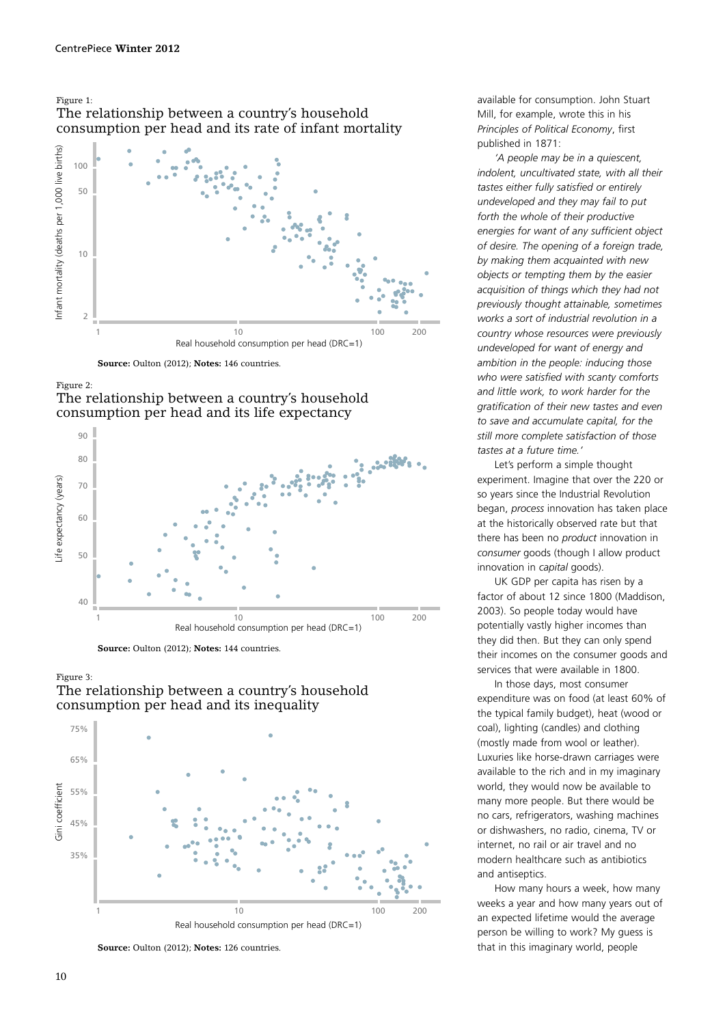#### Figure 1: The relationship between a country's household consumption per head and its rate of infant mortality



**Source:** Oulton (2012); **Notes:** 146 countries.

















available for consumption. John Stuart Mill, for example, wrote this in his *Principles of Political Economy*, first published in 1871:

*'A people may be in a quiescent, indolent, uncultivated state, with all their tastes either fully satisfied or entirely undeveloped and they may fail to put forth the whole of their productive energies for want of any sufficient object of desire. The opening of a foreign trade, by making them acquainted with new objects or tempting them by the easier acquisition of things which they had not previously thought attainable, sometimes works a sort of industrial revolution in a country whose resources were previously undeveloped for want of energy and ambition in the people: inducing those who were satisfied with scanty comforts and little work, to work harder for the gratification of their new tastes and even to save and accumulate capital, for the still more complete satisfaction of those tastes at a future time.'* 

Let's perform a simple thought experiment. Imagine that over the 220 or so years since the Industrial Revolution began, *process* innovation has taken place at the historically observed rate but that there has been no *product* innovation in *consumer* goods (though I allow product innovation in *capital* goods).

UK GDP per capita has risen by a factor of about 12 since 1800 (Maddison, 2003). So people today would have potentially vastly higher incomes than they did then. But they can only spend their incomes on the consumer goods and services that were available in 1800.

In those days, most consumer expenditure was on food (at least 60% of the typical family budget), heat (wood or coal), lighting (candles) and clothing (mostly made from wool or leather). Luxuries like horse-drawn carriages were available to the rich and in my imaginary world, they would now be available to many more people. But there would be no cars, refrigerators, washing machines or dishwashers, no radio, cinema, TV or internet, no rail or air travel and no modern healthcare such as antibiotics and antiseptics.

How many hours a week, how many weeks a year and how many years out of an expected lifetime would the average person be willing to work? My guess is that in this imaginary world, people